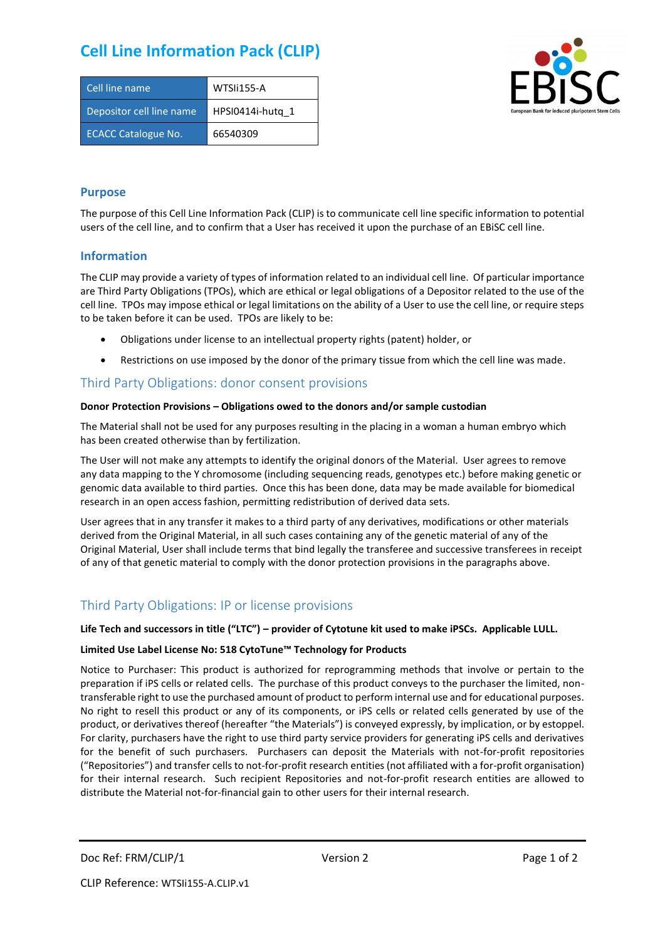# **Cell Line Information Pack (CLIP)**

| Cell line name             | WTSIi155-A       |
|----------------------------|------------------|
| Depositor cell line name   | HPSI0414i-hutg 1 |
| <b>ECACC Catalogue No.</b> | 66540309         |



### **Purpose**

The purpose of this Cell Line Information Pack (CLIP) is to communicate cell line specific information to potential users of the cell line, and to confirm that a User has received it upon the purchase of an EBiSC cell line.

### **Information**

The CLIP may provide a variety of types of information related to an individual cell line. Of particular importance are Third Party Obligations (TPOs), which are ethical or legal obligations of a Depositor related to the use of the cell line. TPOs may impose ethical or legal limitations on the ability of a User to use the cell line, or require steps to be taken before it can be used. TPOs are likely to be:

- Obligations under license to an intellectual property rights (patent) holder, or
- Restrictions on use imposed by the donor of the primary tissue from which the cell line was made.

## Third Party Obligations: donor consent provisions

#### **Donor Protection Provisions – Obligations owed to the donors and/or sample custodian**

The Material shall not be used for any purposes resulting in the placing in a woman a human embryo which has been created otherwise than by fertilization.

The User will not make any attempts to identify the original donors of the Material. User agrees to remove any data mapping to the Y chromosome (including sequencing reads, genotypes etc.) before making genetic or genomic data available to third parties. Once this has been done, data may be made available for biomedical research in an open access fashion, permitting redistribution of derived data sets.

User agrees that in any transfer it makes to a third party of any derivatives, modifications or other materials derived from the Original Material, in all such cases containing any of the genetic material of any of the Original Material, User shall include terms that bind legally the transferee and successive transferees in receipt of any of that genetic material to comply with the donor protection provisions in the paragraphs above.

# Third Party Obligations: IP or license provisions

#### **Life Tech and successors in title ("LTC") – provider of Cytotune kit used to make iPSCs. Applicable LULL.**

#### **Limited Use Label License No: 518 CytoTune™ Technology for Products**

Notice to Purchaser: This product is authorized for reprogramming methods that involve or pertain to the preparation if iPS cells or related cells. The purchase of this product conveys to the purchaser the limited, nontransferable right to use the purchased amount of product to perform internal use and for educational purposes. No right to resell this product or any of its components, or iPS cells or related cells generated by use of the product, or derivatives thereof (hereafter "the Materials") is conveyed expressly, by implication, or by estoppel. For clarity, purchasers have the right to use third party service providers for generating iPS cells and derivatives for the benefit of such purchasers. Purchasers can deposit the Materials with not-for-profit repositories ("Repositories") and transfer cells to not-for-profit research entities (not affiliated with a for-profit organisation) for their internal research. Such recipient Repositories and not-for-profit research entities are allowed to distribute the Material not-for-financial gain to other users for their internal research.

Doc Ref: FRM/CLIP/1 Version 2 Version 2 Page 1 of 2